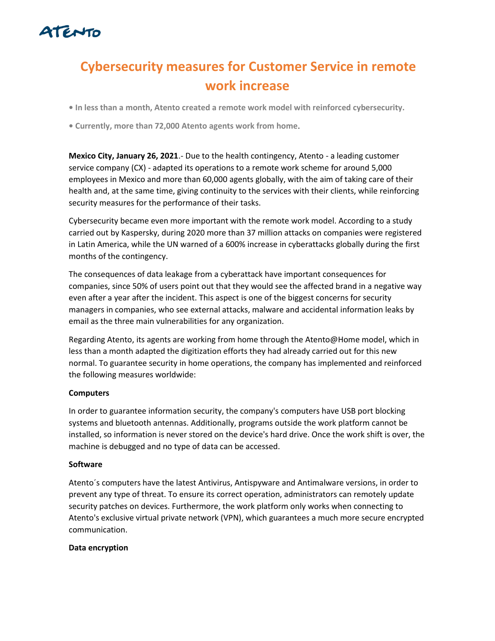

# **Cybersecurity measures for Customer Service in remote work increase**

**• In less than a month, Atento created a remote work model with reinforced cybersecurity.**

**• Currently, more than 72,000 Atento agents work from home**.

**Mexico City, January 26, 2021**.- Due to the health contingency, Atento - a leading customer service company (CX) - adapted its operations to a remote work scheme for around 5,000 employees in Mexico and more than 60,000 agents globally, with the aim of taking care of their health and, at the same time, giving continuity to the services with their clients, while reinforcing security measures for the performance of their tasks.

Cybersecurity became even more important with the remote work model. According to a study carried out by Kaspersky, during 2020 more than 37 million attacks on companies were registered in Latin America, while the UN warned of a 600% increase in cyberattacks globally during the first months of the contingency.

The consequences of data leakage from a cyberattack have important consequences for companies, since 50% of users point out that they would see the affected brand in a negative way even after a year after the incident. This aspect is one of the biggest concerns for security managers in companies, who see external attacks, malware and accidental information leaks by email as the three main vulnerabilities for any organization.

Regarding Atento, its agents are working from home through the Atento@Home model, which in less than a month adapted the digitization efforts they had already carried out for this new normal. To guarantee security in home operations, the company has implemented and reinforced the following measures worldwide:

# **Computers**

In order to guarantee information security, the company's computers have USB port blocking systems and bluetooth antennas. Additionally, programs outside the work platform cannot be installed, so information is never stored on the device's hard drive. Once the work shift is over, the machine is debugged and no type of data can be accessed.

#### **Software**

Atento´s computers have the latest Antivirus, Antispyware and Antimalware versions, in order to prevent any type of threat. To ensure its correct operation, administrators can remotely update security patches on devices. Furthermore, the work platform only works when connecting to Atento's exclusive virtual private network (VPN), which guarantees a much more secure encrypted communication.

#### **Data encryption**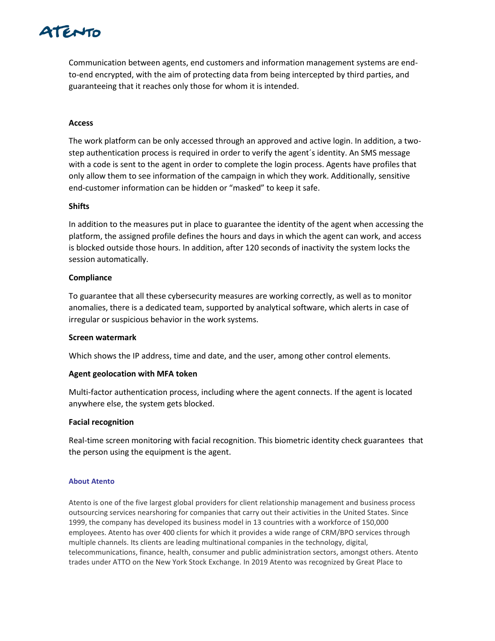# TENTO

Communication between agents, end customers and information management systems are endto-end encrypted, with the aim of protecting data from being intercepted by third parties, and guaranteeing that it reaches only those for whom it is intended.

# **Access**

The work platform can be only accessed through an approved and active login. In addition, a twostep authentication process is required in order to verify the agent´s identity. An SMS message with a code is sent to the agent in order to complete the login process. Agents have profiles that only allow them to see information of the campaign in which they work. Additionally, sensitive end-customer information can be hidden or "masked" to keep it safe.

## **Shifts**

In addition to the measures put in place to guarantee the identity of the agent when accessing the platform, the assigned profile defines the hours and days in which the agent can work, and access is blocked outside those hours. In addition, after 120 seconds of inactivity the system locks the session automatically.

## **Compliance**

To guarantee that all these cybersecurity measures are working correctly, as well as to monitor anomalies, there is a dedicated team, supported by analytical software, which alerts in case of irregular or suspicious behavior in the work systems.

#### **Screen watermark**

Which shows the IP address, time and date, and the user, among other control elements.

# **Agent geolocation with MFA token**

Multi-factor authentication process, including where the agent connects. If the agent is located anywhere else, the system gets blocked.

#### **Facial recognition**

Real-time screen monitoring with facial recognition. This biometric identity check guarantees that the person using the equipment is the agent.

#### **About Atento**

Atento is one of the five largest global providers for client relationship management and business process outsourcing services nearshoring for companies that carry out their activities in the United States. Since 1999, the company has developed its business model in 13 countries with a workforce of 150,000 employees. Atento has over 400 clients for which it provides a wide range of CRM/BPO services through multiple channels. Its clients are leading multinational companies in the technology, digital, telecommunications, finance, health, consumer and public administration sectors, amongst others. Atento trades under ATTO on the New York Stock Exchange. In 2019 Atento was recognized by Great Place to